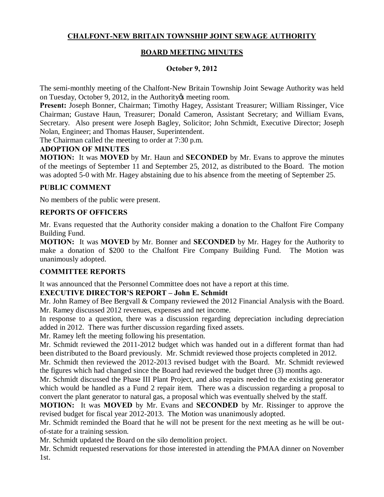# **CHALFONT-NEW BRITAIN TOWNSHIP JOINT SEWAGE AUTHORITY**

## **BOARD MEETING MINUTES**

#### **October 9, 2012**

The semi-monthly meeting of the Chalfont-New Britain Township Joint Sewage Authority was held on Tuesday, October 9, 2012, in the Authority & meeting room.

**Present:** Joseph Bonner, Chairman; Timothy Hagey, Assistant Treasurer; William Rissinger, Vice Chairman; Gustave Haun, Treasurer; Donald Cameron, Assistant Secretary; and William Evans, Secretary. Also present were Joseph Bagley, Solicitor; John Schmidt, Executive Director; Joseph Nolan, Engineer; and Thomas Hauser, Superintendent.

The Chairman called the meeting to order at 7:30 p.m.

#### **ADOPTION OF MINUTES**

**MOTION:** It was **MOVED** by Mr. Haun and **SECONDED** by Mr. Evans to approve the minutes of the meetings of September 11 and September 25, 2012, as distributed to the Board. The motion was adopted 5-0 with Mr. Hagey abstaining due to his absence from the meeting of September 25.

#### **PUBLIC COMMENT**

No members of the public were present.

### **REPORTS OF OFFICERS**

Mr. Evans requested that the Authority consider making a donation to the Chalfont Fire Company Building Fund.

**MOTION:** It was **MOVED** by Mr. Bonner and **SECONDED** by Mr. Hagey for the Authority to make a donation of \$200 to the Chalfont Fire Company Building Fund. The Motion was unanimously adopted.

### **COMMITTEE REPORTS**

It was announced that the Personnel Committee does not have a report at this time.

### **EXECUTIVE DIRECTOR'S REPORT – John E. Schmidt**

Mr. John Ramey of Bee Bergvall & Company reviewed the 2012 Financial Analysis with the Board. Mr. Ramey discussed 2012 revenues, expenses and net income.

In response to a question, there was a discussion regarding depreciation including depreciation added in 2012. There was further discussion regarding fixed assets.

Mr. Ramey left the meeting following his presentation.

Mr. Schmidt reviewed the 2011-2012 budget which was handed out in a different format than had been distributed to the Board previously. Mr. Schmidt reviewed those projects completed in 2012.

Mr. Schmidt then reviewed the 2012-2013 revised budget with the Board. Mr. Schmidt reviewed the figures which had changed since the Board had reviewed the budget three (3) months ago.

Mr. Schmidt discussed the Phase III Plant Project, and also repairs needed to the existing generator which would be handled as a Fund 2 repair item. There was a discussion regarding a proposal to convert the plant generator to natural gas, a proposal which was eventually shelved by the staff.

**MOTION:** It was **MOVED** by Mr. Evans and **SECONDED** by Mr. Rissinger to approve the revised budget for fiscal year 2012-2013. The Motion was unanimously adopted.

Mr. Schmidt reminded the Board that he will not be present for the next meeting as he will be outof-state for a training session.

Mr. Schmidt updated the Board on the silo demolition project.

Mr. Schmidt requested reservations for those interested in attending the PMAA dinner on November 1st.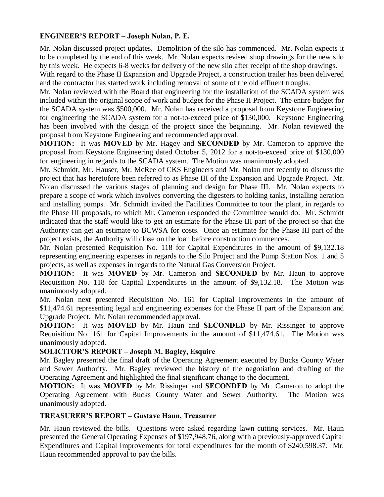### **ENGINEER'S REPORT – Joseph Nolan, P. E.**

Mr. Nolan discussed project updates. Demolition of the silo has commenced. Mr. Nolan expects it to be completed by the end of this week. Mr. Nolan expects revised shop drawings for the new silo by this week. He expects 6-8 weeks for delivery of the new silo after receipt of the shop drawings.

With regard to the Phase II Expansion and Upgrade Project, a construction trailer has been delivered and the contractor has started work including removal of some of the old effluent troughs.

Mr. Nolan reviewed with the Board that engineering for the installation of the SCADA system was included within the original scope of work and budget for the Phase II Project. The entire budget for the SCADA system was \$500,000. Mr. Nolan has received a proposal from Keystone Engineering for engineering the SCADA system for a not-to-exceed price of \$130,000. Keystone Engineering has been involved with the design of the project since the beginning. Mr. Nolan reviewed the proposal from Keystone Engineering and recommended approval.

**MOTION:** It was **MOVED** by Mr. Hagey and **SECONDED** by Mr. Cameron to approve the proposal from Keystone Engineering dated October 5, 2012 for a not-to-exceed price of \$130,000 for engineering in regards to the SCADA system. The Motion was unanimously adopted.

Mr. Schmidt, Mr. Hauser, Mr. McRee of CKS Engineers and Mr. Nolan met recently to discuss the project that has heretofore been referred to as Phase III of the Expansion and Upgrade Project. Mr. Nolan discussed the various stages of planning and design for Phase III. Mr. Nolan expects to prepare a scope of work which involves converting the digesters to holding tanks, installing aeration and installing pumps. Mr. Schmidt invited the Facilities Committee to tour the plant, in regards to the Phase III proposals, to which Mr. Cameron responded the Committee would do. Mr. Schmidt indicated that the staff would like to get an estimate for the Phase III part of the project so that the Authority can get an estimate to BCWSA for costs. Once an estimate for the Phase III part of the project exists, the Authority will close on the loan before construction commences.

Mr. Nolan presented Requisition No. 118 for Capital Expenditures in the amount of \$9,132.18 representing engineering expenses in regards to the Silo Project and the Pump Station Nos. 1 and 5 projects, as well as expenses in regards to the Natural Gas Conversion Project.

**MOTION:** It was **MOVED** by Mr. Cameron and **SECONDED** by Mr. Haun to approve Requisition No. 118 for Capital Expenditures in the amount of \$9,132.18. The Motion was unanimously adopted.

Mr. Nolan next presented Requisition No. 161 for Capital Improvements in the amount of \$11,474.61 representing legal and engineering expenses for the Phase II part of the Expansion and Upgrade Project. Mr. Nolan recommended approval.

**MOTION:** It was **MOVED** by Mr. Haun and **SECONDED** by Mr. Rissinger to approve Requisition No. 161 for Capital Improvements in the amount of \$11,474.61. The Motion was unanimously adopted.

#### **SOLICITOR'S REPORT – Joseph M. Bagley, Esquire**

Mr. Bagley presented the final draft of the Operating Agreement executed by Bucks County Water and Sewer Authority. Mr. Bagley reviewed the history of the negotiation and drafting of the Operating Agreement and highlighted the final significant change to the document.

**MOTION:** It was **MOVED** by Mr. Rissinger and **SECONDED** by Mr. Cameron to adopt the Operating Agreement with Bucks County Water and Sewer Authority. The Motion was unanimously adopted.

### **TREASURER'S REPORT – Gustave Haun, Treasurer**

Mr. Haun reviewed the bills. Questions were asked regarding lawn cutting services. Mr. Haun presented the General Operating Expenses of \$197,948.76, along with a previously-approved Capital Expenditures and Capital Improvements for total expenditures for the month of \$240,598.37. Mr. Haun recommended approval to pay the bills.